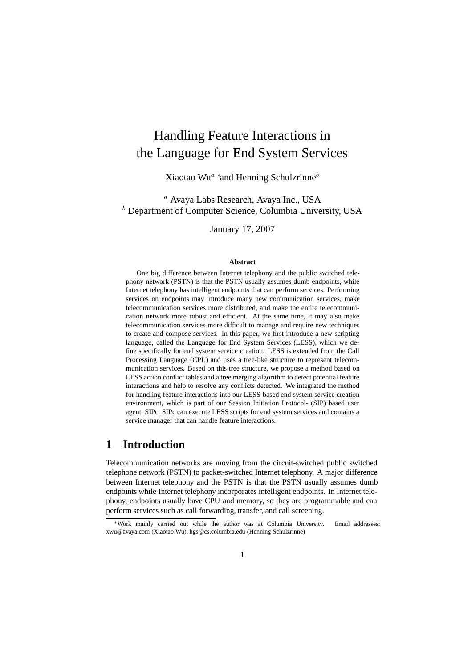# Handling Feature Interactions in the Language for End System Services

Xiaotao Wu*<sup>a</sup>* <sup>∗</sup> and Henning Schulzrinne*<sup>b</sup>*

*<sup>a</sup>* Avaya Labs Research, Avaya Inc., USA *<sup>b</sup>* Department of Computer Science, Columbia University, USA

January 17, 2007

#### **Abstract**

One big difference between Internet telephony and the public switched telephony network (PSTN) is that the PSTN usually assumes dumb endpoints, while Internet telephony has intelligent endpoints that can perform services. Performing services on endpoints may introduce many new communication services, make telecommunication services more distributed, and make the entire telecommunication network more robust and efficient. At the same time, it may also make telecommunication services more difficult to manage and require new techniques to create and compose services. In this paper, we first introduce a new scripting language, called the Language for End System Services (LESS), which we define specifically for end system service creation. LESS is extended from the Call Processing Language (CPL) and uses a tree-like structure to represent telecommunication services. Based on this tree structure, we propose a method based on LESS action conflict tables and a tree merging algorithm to detect potential feature interactions and help to resolve any conflicts detected. We integrated the method for handling feature interactions into our LESS-based end system service creation environment, which is part of our Session Initiation Protocol- (SIP) based user agent, SIPc. SIPc can execute LESS scripts for end system services and contains a service manager that can handle feature interactions.

# **1 Introduction**

Telecommunication networks are moving from the circuit-switched public switched telephone network (PSTN) to packet-switched Internet telephony. A major difference between Internet telephony and the PSTN is that the PSTN usually assumes dumb endpoints while Internet telephony incorporates intelligent endpoints. In Internet telephony, endpoints usually have CPU and memory, so they are programmable and can perform services such as call forwarding, transfer, and call screening.

<sup>∗</sup>Work mainly carried out while the author was at Columbia University. Email addresses: xwu@avaya.com (Xiaotao Wu), hgs@cs.columbia.edu (Henning Schulzrinne)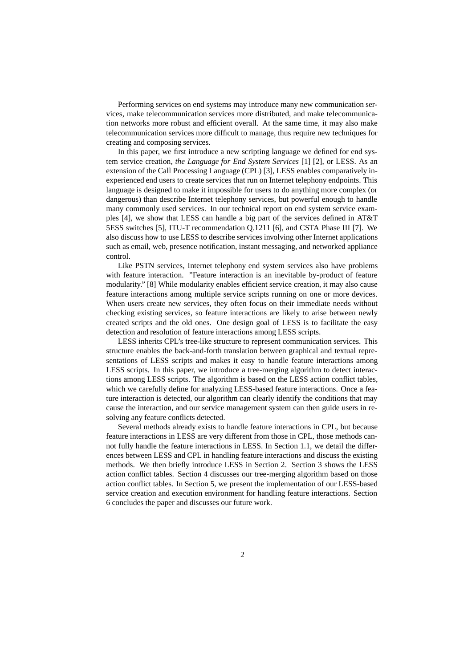Performing services on end systems may introduce many new communication services, make telecommunication services more distributed, and make telecommunication networks more robust and efficient overall. At the same time, it may also make telecommunication services more difficult to manage, thus require new techniques for creating and composing services.

In this paper, we first introduce a new scripting language we defined for end system service creation, *the Language for End System Services* [1] [2], or LESS. As an extension of the Call Processing Language (CPL) [3], LESS enables comparatively inexperienced end users to create services that run on Internet telephony endpoints. This language is designed to make it impossible for users to do anything more complex (or dangerous) than describe Internet telephony services, but powerful enough to handle many commonly used services. In our technical report on end system service examples [4], we show that LESS can handle a big part of the services defined in AT&T 5ESS switches [5], ITU-T recommendation Q.1211 [6], and CSTA Phase III [7]. We also discuss how to use LESS to describe services involving other Internet applications such as email, web, presence notification, instant messaging, and networked appliance control.

Like PSTN services, Internet telephony end system services also have problems with feature interaction. "Feature interaction is an inevitable by-product of feature modularity." [8] While modularity enables efficient service creation, it may also cause feature interactions among multiple service scripts running on one or more devices. When users create new services, they often focus on their immediate needs without checking existing services, so feature interactions are likely to arise between newly created scripts and the old ones. One design goal of LESS is to facilitate the easy detection and resolution of feature interactions among LESS scripts.

LESS inherits CPL's tree-like structure to represent communication services. This structure enables the back-and-forth translation between graphical and textual representations of LESS scripts and makes it easy to handle feature interactions among LESS scripts. In this paper, we introduce a tree-merging algorithm to detect interactions among LESS scripts. The algorithm is based on the LESS action conflict tables, which we carefully define for analyzing LESS-based feature interactions. Once a feature interaction is detected, our algorithm can clearly identify the conditions that may cause the interaction, and our service management system can then guide users in resolving any feature conflicts detected.

Several methods already exists to handle feature interactions in CPL, but because feature interactions in LESS are very different from those in CPL, those methods cannot fully handle the feature interactions in LESS. In Section 1.1, we detail the differences between LESS and CPL in handling feature interactions and discuss the existing methods. We then briefly introduce LESS in Section 2. Section 3 shows the LESS action conflict tables. Section 4 discusses our tree-merging algorithm based on those action conflict tables. In Section 5, we present the implementation of our LESS-based service creation and execution environment for handling feature interactions. Section 6 concludes the paper and discusses our future work.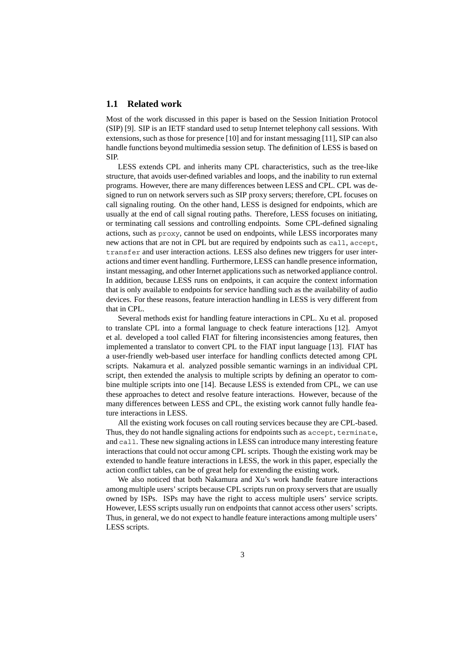#### **1.1 Related work**

Most of the work discussed in this paper is based on the Session Initiation Protocol (SIP) [9]. SIP is an IETF standard used to setup Internet telephony call sessions. With extensions, such as those for presence [10] and for instant messaging [11], SIP can also handle functions beyond multimedia session setup. The definition of LESS is based on SIP.

LESS extends CPL and inherits many CPL characteristics, such as the tree-like structure, that avoids user-defined variables and loops, and the inability to run external programs. However, there are many differences between LESS and CPL. CPL was designed to run on network servers such as SIP proxy servers; therefore, CPL focuses on call signaling routing. On the other hand, LESS is designed for endpoints, which are usually at the end of call signal routing paths. Therefore, LESS focuses on initiating, or terminating call sessions and controlling endpoints. Some CPL-defined signaling actions, such as proxy, cannot be used on endpoints, while LESS incorporates many new actions that are not in CPL but are required by endpoints such as call, accept, transfer and user interaction actions. LESS also defines new triggers for user interactions and timer event handling. Furthermore, LESS can handle presence information, instant messaging, and other Internet applications such as networked appliance control. In addition, because LESS runs on endpoints, it can acquire the context information that is only available to endpoints for service handling such as the availability of audio devices. For these reasons, feature interaction handling in LESS is very different from that in CPL.

Several methods exist for handling feature interactions in CPL. Xu et al. proposed to translate CPL into a formal language to check feature interactions [12]. Amyot et al. developed a tool called FIAT for filtering inconsistencies among features, then implemented a translator to convert CPL to the FIAT input language [13]. FIAT has a user-friendly web-based user interface for handling conflicts detected among CPL scripts. Nakamura et al. analyzed possible semantic warnings in an individual CPL script, then extended the analysis to multiple scripts by defining an operator to combine multiple scripts into one [14]. Because LESS is extended from CPL, we can use these approaches to detect and resolve feature interactions. However, because of the many differences between LESS and CPL, the existing work cannot fully handle feature interactions in LESS.

All the existing work focuses on call routing services because they are CPL-based. Thus, they do not handle signaling actions for endpoints such as accept, terminate, and call. These new signaling actions in LESS can introduce many interesting feature interactions that could not occur among CPL scripts. Though the existing work may be extended to handle feature interactions in LESS, the work in this paper, especially the action conflict tables, can be of great help for extending the existing work.

We also noticed that both Nakamura and Xu's work handle feature interactions among multiple users' scripts because CPL scripts run on proxy servers that are usually owned by ISPs. ISPs may have the right to access multiple users' service scripts. However, LESS scripts usually run on endpoints that cannot access other users' scripts. Thus, in general, we do not expect to handle feature interactions among multiple users' LESS scripts.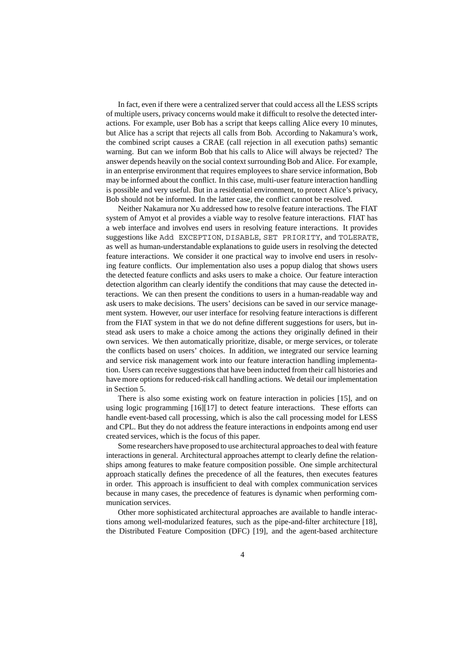In fact, even if there were a centralized server that could access all the LESS scripts of multiple users, privacy concerns would make it difficult to resolve the detected interactions. For example, user Bob has a script that keeps calling Alice every 10 minutes, but Alice has a script that rejects all calls from Bob. According to Nakamura's work, the combined script causes a CRAE (call rejection in all execution paths) semantic warning. But can we inform Bob that his calls to Alice will always be rejected? The answer depends heavily on the social context surrounding Bob and Alice. For example, in an enterprise environment that requires employees to share service information, Bob may be informed about the conflict. In this case, multi-user feature interaction handling is possible and very useful. But in a residential environment, to protect Alice's privacy, Bob should not be informed. In the latter case, the conflict cannot be resolved.

Neither Nakamura nor Xu addressed how to resolve feature interactions. The FIAT system of Amyot et al provides a viable way to resolve feature interactions. FIAT has a web interface and involves end users in resolving feature interactions. It provides suggestions like Add EXCEPTION, DISABLE, SET PRIORITY, and TOLERATE, as well as human-understandable explanations to guide users in resolving the detected feature interactions. We consider it one practical way to involve end users in resolving feature conflicts. Our implementation also uses a popup dialog that shows users the detected feature conflicts and asks users to make a choice. Our feature interaction detection algorithm can clearly identify the conditions that may cause the detected interactions. We can then present the conditions to users in a human-readable way and ask users to make decisions. The users' decisions can be saved in our service management system. However, our user interface for resolving feature interactions is different from the FIAT system in that we do not define different suggestions for users, but instead ask users to make a choice among the actions they originally defined in their own services. We then automatically prioritize, disable, or merge services, or tolerate the conflicts based on users' choices. In addition, we integrated our service learning and service risk management work into our feature interaction handling implementation. Users can receive suggestions that have been inducted from their call histories and have more options for reduced-risk call handling actions. We detail our implementation in Section 5.

There is also some existing work on feature interaction in policies [15], and on using logic programming [16][17] to detect feature interactions. These efforts can handle event-based call processing, which is also the call processing model for LESS and CPL. But they do not address the feature interactions in endpoints among end user created services, which is the focus of this paper.

Some researchers have proposed to use architectural approaches to deal with feature interactions in general. Architectural approaches attempt to clearly define the relationships among features to make feature composition possible. One simple architectural approach statically defines the precedence of all the features, then executes features in order. This approach is insufficient to deal with complex communication services because in many cases, the precedence of features is dynamic when performing communication services.

Other more sophisticated architectural approaches are available to handle interactions among well-modularized features, such as the pipe-and-filter architecture [18], the Distributed Feature Composition (DFC) [19], and the agent-based architecture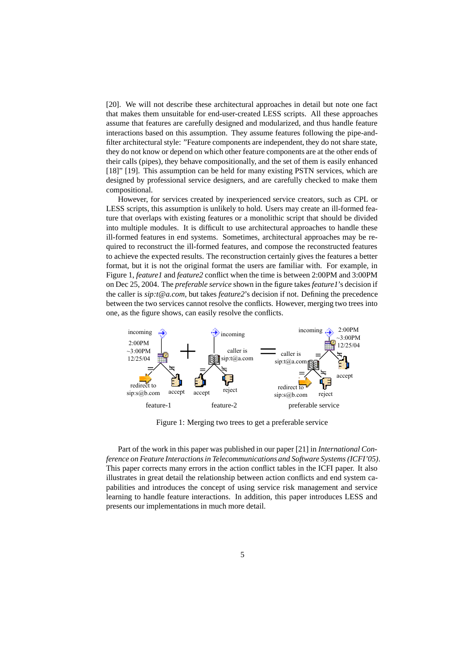[20]. We will not describe these architectural approaches in detail but note one fact that makes them unsuitable for end-user-created LESS scripts. All these approaches assume that features are carefully designed and modularized, and thus handle feature interactions based on this assumption. They assume features following the pipe-andfilter architectural style: "Feature components are independent, they do not share state, they do not know or depend on which other feature components are at the other ends of their calls (pipes), they behave compositionally, and the set of them is easily enhanced [18]" [19]. This assumption can be held for many existing PSTN services, which are designed by professional service designers, and are carefully checked to make them compositional.

However, for services created by inexperienced service creators, such as CPL or LESS scripts, this assumption is unlikely to hold. Users may create an ill-formed feature that overlaps with existing features or a monolithic script that should be divided into multiple modules. It is difficult to use architectural approaches to handle these ill-formed features in end systems. Sometimes, architectural approaches may be required to reconstruct the ill-formed features, and compose the reconstructed features to achieve the expected results. The reconstruction certainly gives the features a better format, but it is not the original format the users are familiar with. For example, in Figure 1, *feature1* and *feature2* conflict when the time is between 2:00PM and 3:00PM on Dec 25, 2004. The *preferable service* shown in the figure takes *feature1*'s decision if the caller is *sip:t@a.com*, but takes *feature2*'s decision if not. Defining the precedence between the two services cannot resolve the conflicts. However, merging two trees into one, as the figure shows, can easily resolve the conflicts.



Figure 1: Merging two trees to get a preferable service

Part of the work in this paper was published in our paper [21] in *International Conference on Feature Interactions in Telecommunications and Software Systems (ICFI'05)*. This paper corrects many errors in the action conflict tables in the ICFI paper. It also illustrates in great detail the relationship between action conflicts and end system capabilities and introduces the concept of using service risk management and service learning to handle feature interactions. In addition, this paper introduces LESS and presents our implementations in much more detail.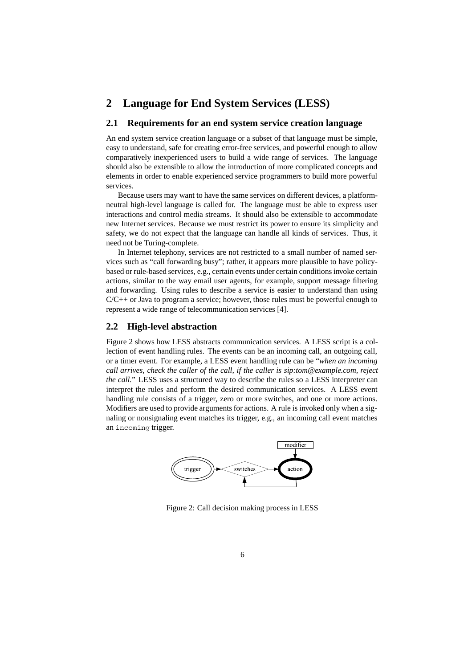# **2 Language for End System Services (LESS)**

## **2.1 Requirements for an end system service creation language**

An end system service creation language or a subset of that language must be simple, easy to understand, safe for creating error-free services, and powerful enough to allow comparatively inexperienced users to build a wide range of services. The language should also be extensible to allow the introduction of more complicated concepts and elements in order to enable experienced service programmers to build more powerful services.

Because users may want to have the same services on different devices, a platformneutral high-level language is called for. The language must be able to express user interactions and control media streams. It should also be extensible to accommodate new Internet services. Because we must restrict its power to ensure its simplicity and safety, we do not expect that the language can handle all kinds of services. Thus, it need not be Turing-complete.

In Internet telephony, services are not restricted to a small number of named services such as "call forwarding busy"; rather, it appears more plausible to have policybased or rule-based services, e.g., certain events under certain conditions invoke certain actions, similar to the way email user agents, for example, support message filtering and forwarding. Using rules to describe a service is easier to understand than using  $C/C++$  or Java to program a service; however, those rules must be powerful enough to represent a wide range of telecommunication services [4].

### **2.2 High-level abstraction**

Figure 2 shows how LESS abstracts communication services. A LESS script is a collection of event handling rules. The events can be an incoming call, an outgoing call, or a timer event. For example, a LESS event handling rule can be "*when an incoming call arrives, check the caller of the call, if the caller is sip:tom@example.com, reject the call.*" LESS uses a structured way to describe the rules so a LESS interpreter can interpret the rules and perform the desired communication services. A LESS event handling rule consists of a trigger, zero or more switches, and one or more actions. Modifiers are used to provide arguments for actions. A rule is invoked only when a signaling or nonsignaling event matches its trigger, e.g., an incoming call event matches an incoming trigger.



Figure 2: Call decision making process in LESS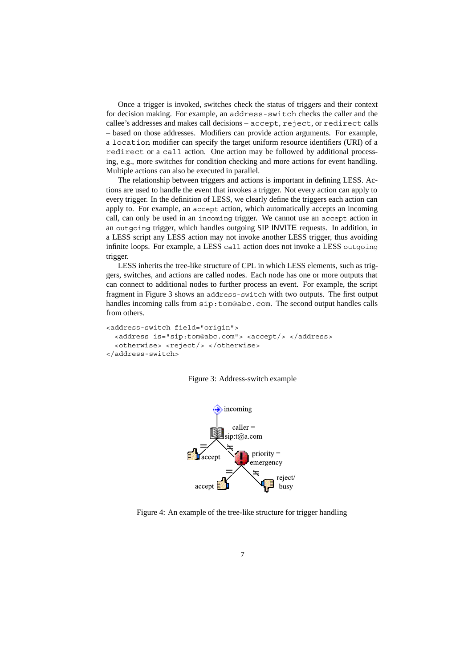Once a trigger is invoked, switches check the status of triggers and their context for decision making. For example, an address-switch checks the caller and the callee's addresses and makes call decisions – accept, reject, or redirect calls – based on those addresses. Modifiers can provide action arguments. For example, a location modifier can specify the target uniform resource identifiers (URI) of a redirect or a call action. One action may be followed by additional processing, e.g., more switches for condition checking and more actions for event handling. Multiple actions can also be executed in parallel.

The relationship between triggers and actions is important in defining LESS. Actions are used to handle the event that invokes a trigger. Not every action can apply to every trigger. In the definition of LESS, we clearly define the triggers each action can apply to. For example, an accept action, which automatically accepts an incoming call, can only be used in an incoming trigger. We cannot use an accept action in an outgoing trigger, which handles outgoing SIP INVITE requests. In addition, in a LESS script any LESS action may not invoke another LESS trigger, thus avoiding infinite loops. For example, a LESS call action does not invoke a LESS outgoing trigger.

LESS inherits the tree-like structure of CPL in which LESS elements, such as triggers, switches, and actions are called nodes. Each node has one or more outputs that can connect to additional nodes to further process an event. For example, the script fragment in Figure 3 shows an address-switch with two outputs. The first output handles incoming calls from sip:tom@abc.com. The second output handles calls from others.

```
<address-switch field="origin">
 <address is="sip:tom@abc.com"> <accept/> </address>
 <otherwise> <reject/> </otherwise>
</address-switch>
```




Figure 4: An example of the tree-like structure for trigger handling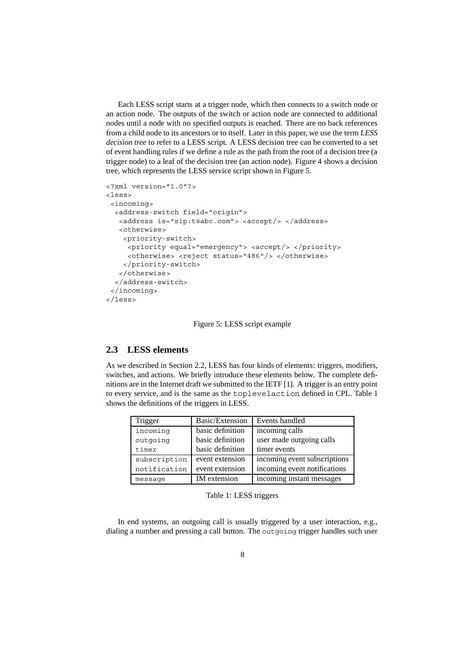Each LESS script starts at a trigger node, which then connects to a switch node or an action node. The outputs of the switch or action node are connected to additional nodes until a node with no specified outputs is reached. There are no back references from a child node to its ancestors or to itself. Later in this paper, we use the term *LESS decision tree* to refer to a LESS script. A LESS decision tree can be converted to a set of event handling rules if we define a rule as the path from the root of a decision tree (a trigger node) to a leaf of the decision tree (an action node). Figure 4 shows a decision tree, which represents the LESS service script shown in Figure 5.

```
<?xml version="1.0"?>
<less>
 <incoming>
  <address-switch field="origin">
   <address is="sip:t@abc.com"> <accept/> </address>
   <otherwise>
    <priority-switch>
    <priority equal="emergency"> <accept/> </priority>
     <otherwise> <reject status="486"/> </otherwise>
    </priority-switch>
   </otherwise>
  </address-switch>
 </incoming>
</less>
```
Figure 5: LESS script example

### **2.3 LESS elements**

As we described in Section 2.2, LESS has four kinds of elements: triggers, modifiers, switches, and actions. We briefly introduce these elements below. The complete definitions are in the Internet draft we submitted to the IETF [1]. A trigger is an entry point to every service, and is the same as the toplevelaction defined in CPL. Table 1 shows the definitions of the triggers in LESS.

| Trigger      | Basic/Extension     | Events handled               |
|--------------|---------------------|------------------------------|
| incoming     | basic definition    | incoming calls               |
| outgoing     | basic definition    | user made outgoing calls     |
| timer        | basic definition    | timer events                 |
| subscription | event extension     | incoming event subscriptions |
| notification | event extension     | incoming event notifications |
| message      | <b>IM</b> extension | incoming instant messages    |

Table 1: LESS triggers

In end systems, an outgoing call is usually triggered by a user interaction, e.g., dialing a number and pressing a call button. The outgoing trigger handles such user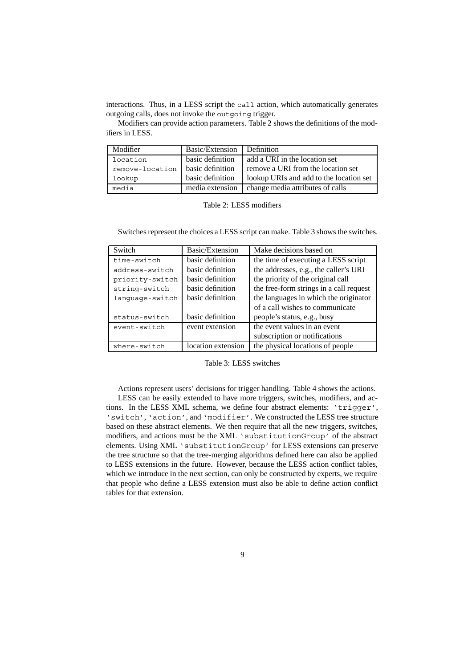interactions. Thus, in a LESS script the call action, which automatically generates outgoing calls, does not invoke the outgoing trigger.

Modifiers can provide action parameters. Table 2 shows the definitions of the modifiers in LESS.

| Modifier        | Basic/Extension  | Definition                              |
|-----------------|------------------|-----------------------------------------|
| location        | basic definition | add a URI in the location set           |
| remove-location | basic definition | remove a URI from the location set      |
| lookup          | basic definition | lookup URIs and add to the location set |
| media           | media extension  | change media attributes of calls        |

Table 2: LESS modifiers

Switches represent the choices a LESS script can make. Table 3 shows the switches.

| Switch          | Basic/Extension    | Make decisions based on                 |
|-----------------|--------------------|-----------------------------------------|
| time-switch     | basic definition   | the time of executing a LESS script     |
| address-switch  | basic definition   | the addresses, e.g., the caller's URI   |
| priority-switch | basic definition   | the priority of the original call       |
| string-switch   | basic definition   | the free-form strings in a call request |
| language-switch | basic definition   | the languages in which the originator   |
|                 |                    | of a call wishes to communicate         |
| status-switch   | basic definition   | people's status, e.g., busy             |
| event-switch    | event extension    | the event values in an event            |
|                 |                    | subscription or notifications           |
| where-switch    | location extension | the physical locations of people        |

Table 3: LESS switches

Actions represent users' decisions for trigger handling. Table 4 shows the actions.

LESS can be easily extended to have more triggers, switches, modifiers, and actions. In the LESS XML schema, we define four abstract elements: 'trigger', 'switch', 'action', and 'modifier'. We constructed the LESS tree structure based on these abstract elements. We then require that all the new triggers, switches, modifiers, and actions must be the XML 'substitutionGroup' of the abstract elements. Using XML 'substitutionGroup' for LESS extensions can preserve the tree structure so that the tree-merging algorithms defined here can also be applied to LESS extensions in the future. However, because the LESS action conflict tables, which we introduce in the next section, can only be constructed by experts, we require that people who define a LESS extension must also be able to define action conflict tables for that extension.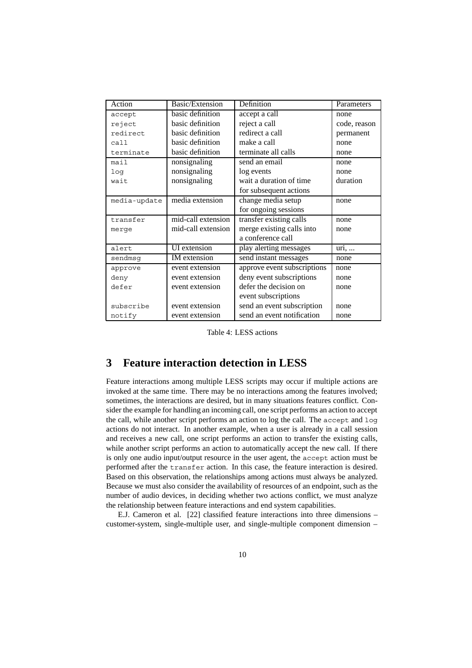| Action       | Basic/Extension    | Definition                  | Parameters   |
|--------------|--------------------|-----------------------------|--------------|
| accept       | basic definition   | accept a call               | none         |
| reject       | basic definition   | reject a call               | code, reason |
| redirect     | basic definition   | redirect a call             | permanent    |
| call         | basic definition   | make a call                 | none         |
| terminate    | basic definition   | terminate all calls         | none         |
| mail         | nonsignaling       | send an email               | none         |
| log          | nonsignaling       | log events                  | none         |
| wait         | nonsignaling       | wait a duration of time     | duration     |
|              |                    | for subsequent actions      |              |
| media-update | media extension    | change media setup          | none         |
|              |                    | for ongoing sessions        |              |
| transfer     | mid-call extension | transfer existing calls     | none         |
| merge        | mid-call extension | merge existing calls into   | none         |
|              |                    | a conference call           |              |
| alert        | UI extension       | play alerting messages      | uri, …       |
| sendmsq      | IM extension       | send instant messages       | none         |
| approve      | event extension    | approve event subscriptions | none         |
| deny         | event extension    | deny event subscriptions    | none         |
| defer        | event extension    | defer the decision on       | none         |
|              |                    | event subscriptions         |              |
| subscribe    | event extension    | send an event subscription  | none         |
| notify       | event extension    | send an event notification  | none         |

Table 4: LESS actions

# **3 Feature interaction detection in LESS**

Feature interactions among multiple LESS scripts may occur if multiple actions are invoked at the same time. There may be no interactions among the features involved; sometimes, the interactions are desired, but in many situations features conflict. Consider the example for handling an incoming call, one script performs an action to accept the call, while another script performs an action to log the call. The accept and log actions do not interact. In another example, when a user is already in a call session and receives a new call, one script performs an action to transfer the existing calls, while another script performs an action to automatically accept the new call. If there is only one audio input/output resource in the user agent, the accept action must be performed after the transfer action. In this case, the feature interaction is desired. Based on this observation, the relationships among actions must always be analyzed. Because we must also consider the availability of resources of an endpoint, such as the number of audio devices, in deciding whether two actions conflict, we must analyze the relationship between feature interactions and end system capabilities.

E.J. Cameron et al. [22] classified feature interactions into three dimensions – customer-system, single-multiple user, and single-multiple component dimension –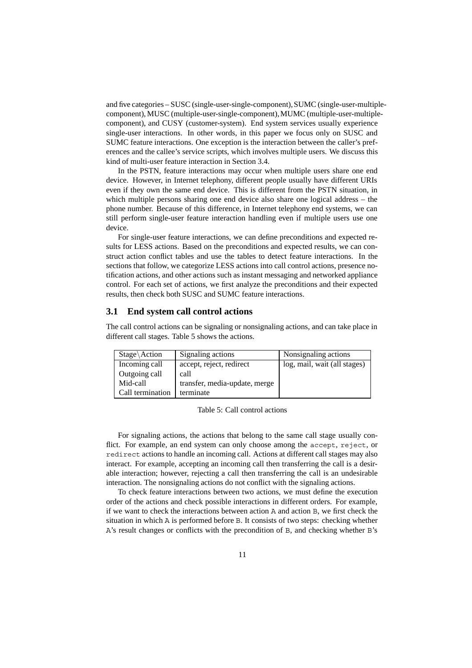and five categories – SUSC (single-user-single-component), SUMC (single-user-multiplecomponent), MUSC (multiple-user-single-component),MUMC (multiple-user-multiplecomponent), and CUSY (customer-system). End system services usually experience single-user interactions. In other words, in this paper we focus only on SUSC and SUMC feature interactions. One exception is the interaction between the caller's preferences and the callee's service scripts, which involves multiple users. We discuss this kind of multi-user feature interaction in Section 3.4.

In the PSTN, feature interactions may occur when multiple users share one end device. However, in Internet telephony, different people usually have different URIs even if they own the same end device. This is different from the PSTN situation, in which multiple persons sharing one end device also share one logical address – the phone number. Because of this difference, in Internet telephony end systems, we can still perform single-user feature interaction handling even if multiple users use one device.

For single-user feature interactions, we can define preconditions and expected results for LESS actions. Based on the preconditions and expected results, we can construct action conflict tables and use the tables to detect feature interactions. In the sections that follow, we categorize LESS actions into call control actions, presence notification actions, and other actions such as instant messaging and networked appliance control. For each set of actions, we first analyze the preconditions and their expected results, then check both SUSC and SUMC feature interactions.

## **3.1 End system call control actions**

The call control actions can be signaling or nonsignaling actions, and can take place in different call stages. Table 5 shows the actions.

| $Stage \cdot$ Action | Signaling actions             | Nonsignaling actions         |
|----------------------|-------------------------------|------------------------------|
| Incoming call        | accept, reject, redirect      | log, mail, wait (all stages) |
| Outgoing call        | call                          |                              |
| Mid-call             | transfer, media-update, merge |                              |
| Call termination     | terminate                     |                              |

Table 5: Call control actions

For signaling actions, the actions that belong to the same call stage usually conflict. For example, an end system can only choose among the accept, reject, or redirect actions to handle an incoming call. Actions at different call stages may also interact. For example, accepting an incoming call then transferring the call is a desirable interaction; however, rejecting a call then transferring the call is an undesirable interaction. The nonsignaling actions do not conflict with the signaling actions.

To check feature interactions between two actions, we must define the execution order of the actions and check possible interactions in different orders. For example, if we want to check the interactions between action A and action B, we first check the situation in which A is performed before B. It consists of two steps: checking whether A's result changes or conflicts with the precondition of B, and checking whether B's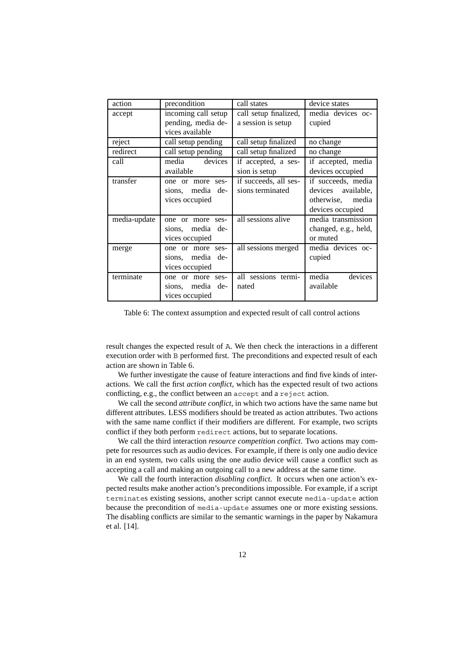| action       | precondition        | call states           | device states        |
|--------------|---------------------|-----------------------|----------------------|
| accept       | incoming call setup | call setup finalized, | media devices oc-    |
|              | pending, media de-  | a session is setup    | cupied               |
|              | vices available     |                       |                      |
| reject       | call setup pending  | call setup finalized  | no change            |
| redirect     | call setup pending  | call setup finalized  | no change            |
| call         | devices<br>media    | if accepted, a ses-   | if accepted, media   |
|              | available           | sion is setup         | devices occupied     |
| transfer     | one or more ses-    | if succeeds, all ses- | if succeeds, media   |
|              | sions, media de-    | sions terminated      | devices available,   |
|              | vices occupied      |                       | otherwise, media     |
|              |                     |                       | devices occupied     |
| media-update | more ses-<br>one or | all sessions alive    | media transmission   |
|              | media de-<br>sions, |                       | changed, e.g., held, |
|              | vices occupied      |                       | or muted             |
| merge        | one or more ses-    | all sessions merged   | media devices oc-    |
|              | sions, media de-    |                       | cupied               |
|              | vices occupied      |                       |                      |
| terminate    | one or more ses-    | all sessions termi-   | devices<br>media     |
|              | sions, media de-    | nated                 | available            |
|              | vices occupied      |                       |                      |

Table 6: The context assumption and expected result of call control actions

result changes the expected result of A. We then check the interactions in a different execution order with B performed first. The preconditions and expected result of each action are shown in Table 6.

We further investigate the cause of feature interactions and find five kinds of interactions. We call the first *action conflict*, which has the expected result of two actions conflicting, e.g., the conflict between an accept and a reject action.

We call the second *attribute conflict*, in which two actions have the same name but different attributes. LESS modifiers should be treated as action attributes. Two actions with the same name conflict if their modifiers are different. For example, two scripts conflict if they both perform redirect actions, but to separate locations.

We call the third interaction *resource competition conflict*. Two actions may compete for resources such as audio devices. For example, if there is only one audio device in an end system, two calls using the one audio device will cause a conflict such as accepting a call and making an outgoing call to a new address at the same time.

We call the fourth interaction *disabling conflict*. It occurs when one action's expected results make another action's preconditions impossible. For example, if a script terminates existing sessions, another script cannot execute media-update action because the precondition of media-update assumes one or more existing sessions. The disabling conflicts are similar to the semantic warnings in the paper by Nakamura et al. [14].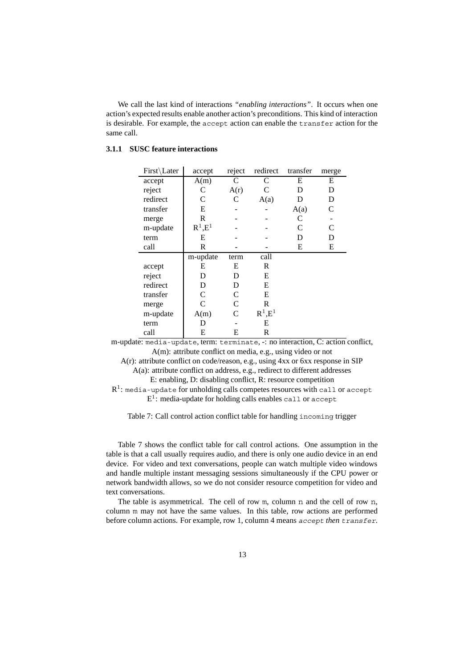We call the last kind of interactions *"enabling interactions"*. It occurs when one action's expected results enable another action's preconditions. This kind of interaction is desirable. For example, the accept action can enable the transfer action for the same call.

### **3.1.1 SUSC feature interactions**

| First\Later | accept        | reject        | redirect  | transfer     | merge        |
|-------------|---------------|---------------|-----------|--------------|--------------|
| accept      | A(m)          | C             | C         | E            | Ε            |
| reject      | C             | A(r)          | C         | D            | D            |
| redirect    | $\mathsf{C}$  | $\mathcal{C}$ | A(a)      | D            | D            |
| transfer    | E             |               |           | A(a)         | $\mathsf{C}$ |
| merge       | R             |               |           | C            |              |
| m-update    | $R^1,E^1$     |               |           | $\mathsf{C}$ | $\mathbf C$  |
| term        | E             |               |           | D            | D            |
| call        | R             |               |           | E            | E            |
|             |               |               |           |              |              |
|             | m-update      | term          | call      |              |              |
| accept      | E             | E             | R         |              |              |
| reject      | D             | D             | E         |              |              |
| redirect    | D             | D             | E         |              |              |
| transfer    | $\mathcal{C}$ | $\mathbf C$   | E         |              |              |
| merge       | C             | C             | R         |              |              |
| m-update    | A(m)          | C             | $R^1,E^1$ |              |              |
| term        | D             |               | E         |              |              |

m-update: media-update, term: terminate, -: no interaction, C: action conflict, A(m): attribute conflict on media, e.g., using video or not

A(r): attribute conflict on code/reason, e.g., using 4xx or 6xx response in SIP A(a): attribute conflict on address, e.g., redirect to different addresses E: enabling, D: disabling conflict, R: resource competition

 $R<sup>1</sup>$ : media-update for unholding calls competes resources with call or accept  $E^1$ : media-update for holding calls enables call or accept

Table 7: Call control action conflict table for handling incoming trigger

Table 7 shows the conflict table for call control actions. One assumption in the table is that a call usually requires audio, and there is only one audio device in an end device. For video and text conversations, people can watch multiple video windows and handle multiple instant messaging sessions simultaneously if the CPU power or network bandwidth allows, so we do not consider resource competition for video and text conversations.

The table is asymmetrical. The cell of row m, column n and the cell of row n, column m may not have the same values. In this table, row actions are performed before column actions. For example, row 1, column 4 means accept *then* transfer.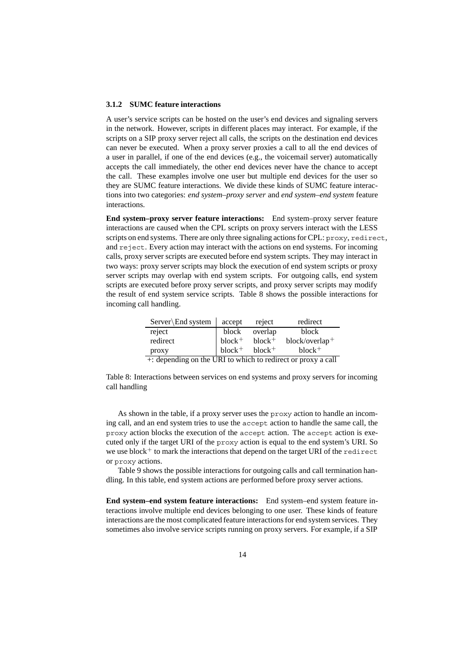#### **3.1.2 SUMC feature interactions**

A user's service scripts can be hosted on the user's end devices and signaling servers in the network. However, scripts in different places may interact. For example, if the scripts on a SIP proxy server reject all calls, the scripts on the destination end devices can never be executed. When a proxy server proxies a call to all the end devices of a user in parallel, if one of the end devices (e.g., the voicemail server) automatically accepts the call immediately, the other end devices never have the chance to accept the call. These examples involve one user but multiple end devices for the user so they are SUMC feature interactions. We divide these kinds of SUMC feature interactions into two categories: *end system–proxy server* and *end system–end system* feature interactions.

**End system–proxy server feature interactions:** End system–proxy server feature interactions are caused when the CPL scripts on proxy servers interact with the LESS scripts on end systems. There are only three signaling actions for CPL: proxy, redirect, and reject. Every action may interact with the actions on end systems. For incoming calls, proxy server scripts are executed before end system scripts. They may interact in two ways: proxy server scripts may block the execution of end system scripts or proxy server scripts may overlap with end system scripts. For outgoing calls, end system scripts are executed before proxy server scripts, and proxy server scripts may modify the result of end system service scripts. Table 8 shows the possible interactions for incoming call handling.

| Server\End system                                            | accept   | reject   | redirect          |  |
|--------------------------------------------------------------|----------|----------|-------------------|--|
| reject                                                       | block    | overlap  | block             |  |
| redirect                                                     | $block+$ | $block+$ | $block/overlap^+$ |  |
| $block+$ block <sup>+</sup><br>$block+$<br>proxy             |          |          |                   |  |
| +: depending on the URI to which to redirect or proxy a call |          |          |                   |  |

Table 8: Interactions between services on end systems and proxy servers for incoming call handling

As shown in the table, if a proxy server uses the proxy action to handle an incoming call, and an end system tries to use the accept action to handle the same call, the proxy action blocks the execution of the accept action. The accept action is executed only if the target URI of the proxy action is equal to the end system's URI. So we use block<sup>+</sup> to mark the interactions that depend on the target URI of the redirect or proxy actions.

Table 9 shows the possible interactions for outgoing calls and call termination handling. In this table, end system actions are performed before proxy server actions.

**End system–end system feature interactions:** End system–end system feature interactions involve multiple end devices belonging to one user. These kinds of feature interactions are the most complicated feature interactions for end system services. They sometimes also involve service scripts running on proxy servers. For example, if a SIP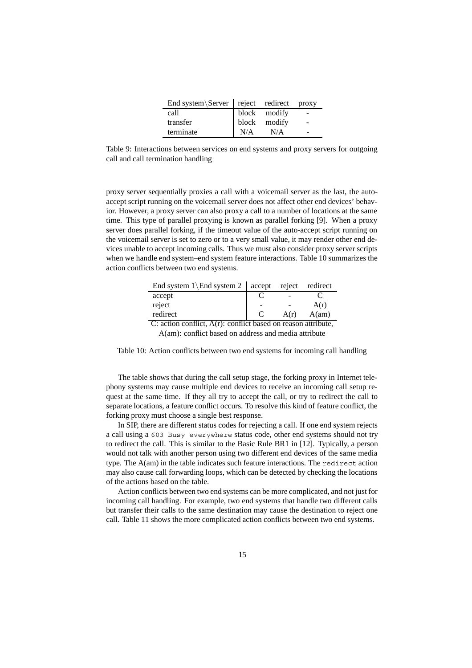| End system\Server reject redirect proxy |     |              |   |
|-----------------------------------------|-----|--------------|---|
| call                                    |     | block modify | - |
| transfer                                |     | block modify |   |
| terminate                               | N/A | N/A          |   |

Table 9: Interactions between services on end systems and proxy servers for outgoing call and call termination handling

proxy server sequentially proxies a call with a voicemail server as the last, the autoaccept script running on the voicemail server does not affect other end devices' behavior. However, a proxy server can also proxy a call to a number of locations at the same time. This type of parallel proxying is known as parallel forking [9]. When a proxy server does parallel forking, if the timeout value of the auto-accept script running on the voicemail server is set to zero or to a very small value, it may render other end devices unable to accept incoming calls. Thus we must also consider proxy server scripts when we handle end system–end system feature interactions. Table 10 summarizes the action conflicts between two end systems.

| End system $1\$ End system 2 |           |      | accept reject redirect |
|------------------------------|-----------|------|------------------------|
| accept                       |           |      |                        |
| reject                       |           |      | A(r)                   |
| redirect                     |           | A(r) | A(am)                  |
| $\sim$<br>$\sim$<br>$\sim$   | $\cdot$ 1 |      | $\cdots$ .             |

C: action conflict, A(r): conflict based on reason attribute, A(am): conflict based on address and media attribute

Table 10: Action conflicts between two end systems for incoming call handling

The table shows that during the call setup stage, the forking proxy in Internet telephony systems may cause multiple end devices to receive an incoming call setup request at the same time. If they all try to accept the call, or try to redirect the call to separate locations, a feature conflict occurs. To resolve this kind of feature conflict, the forking proxy must choose a single best response.

In SIP, there are different status codes for rejecting a call. If one end system rejects a call using a 603 Busy everywhere status code, other end systems should not try to redirect the call. This is similar to the Basic Rule BR1 in [12]. Typically, a person would not talk with another person using two different end devices of the same media type. The A(am) in the table indicates such feature interactions. The redirect action may also cause call forwarding loops, which can be detected by checking the locations of the actions based on the table.

Action conflicts between two end systems can be more complicated, and not just for incoming call handling. For example, two end systems that handle two different calls but transfer their calls to the same destination may cause the destination to reject one call. Table 11 shows the more complicated action conflicts between two end systems.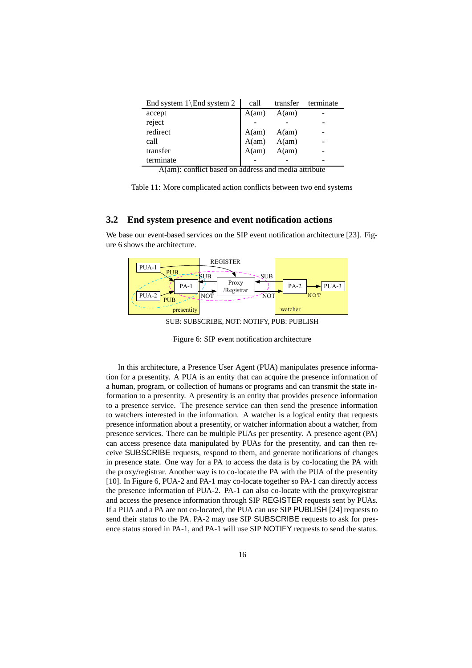| End system $1\$ End system 2 | call                                                  |                 | transfer terminate |
|------------------------------|-------------------------------------------------------|-----------------|--------------------|
| accept                       |                                                       | $A(am)$ $A(am)$ |                    |
| reject                       |                                                       |                 |                    |
| redirect                     |                                                       |                 |                    |
| call                         |                                                       |                 |                    |
| transfer                     | $A(am)$ $A(am)$<br>$A(am)$ $A(am)$<br>$A(am)$ $A(am)$ |                 |                    |
| terminate                    |                                                       |                 |                    |

A(am): conflict based on address and media attribute

Table 11: More complicated action conflicts between two end systems

### **3.2 End system presence and event notification actions**

We base our event-based services on the SIP event notification architecture [23]. Figure 6 shows the architecture.



SUB: SUBSCRIBE, NOT: NOTIFY, PUB: PUBLISH

Figure 6: SIP event notification architecture

In this architecture, a Presence User Agent (PUA) manipulates presence information for a presentity. A PUA is an entity that can acquire the presence information of a human, program, or collection of humans or programs and can transmit the state information to a presentity. A presentity is an entity that provides presence information to a presence service. The presence service can then send the presence information to watchers interested in the information. A watcher is a logical entity that requests presence information about a presentity, or watcher information about a watcher, from presence services. There can be multiple PUAs per presentity. A presence agent (PA) can access presence data manipulated by PUAs for the presentity, and can then receive SUBSCRIBE requests, respond to them, and generate notifications of changes in presence state. One way for a PA to access the data is by co-locating the PA with the proxy/registrar. Another way is to co-locate the PA with the PUA of the presentity [10]. In Figure 6, PUA-2 and PA-1 may co-locate together so PA-1 can directly access the presence information of PUA-2. PA-1 can also co-locate with the proxy/registrar and access the presence information through SIP REGISTER requests sent by PUAs. If a PUA and a PA are not co-located, the PUA can use SIP PUBLISH [24] requests to send their status to the PA. PA-2 may use SIP SUBSCRIBE requests to ask for presence status stored in PA-1, and PA-1 will use SIP NOTIFY requests to send the status.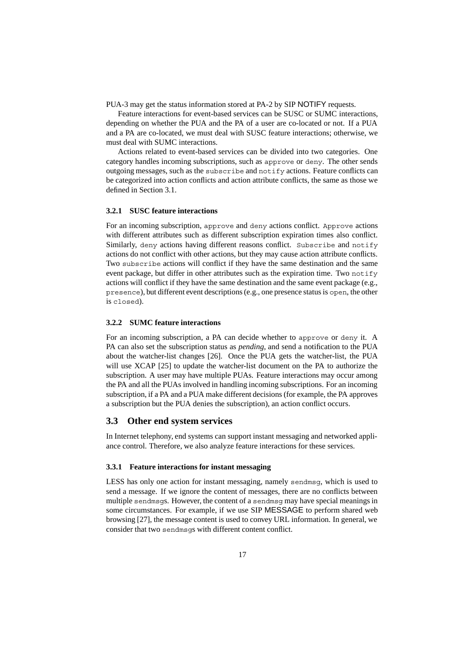PUA-3 may get the status information stored at PA-2 by SIP NOTIFY requests.

Feature interactions for event-based services can be SUSC or SUMC interactions, depending on whether the PUA and the PA of a user are co-located or not. If a PUA and a PA are co-located, we must deal with SUSC feature interactions; otherwise, we must deal with SUMC interactions.

Actions related to event-based services can be divided into two categories. One category handles incoming subscriptions, such as approve or deny. The other sends outgoing messages, such as the subscribe and notify actions. Feature conflicts can be categorized into action conflicts and action attribute conflicts, the same as those we defined in Section 3.1.

#### **3.2.1 SUSC feature interactions**

For an incoming subscription, approve and deny actions conflict. Approve actions with different attributes such as different subscription expiration times also conflict. Similarly, deny actions having different reasons conflict. Subscribe and notify actions do not conflict with other actions, but they may cause action attribute conflicts. Two subscribe actions will conflict if they have the same destination and the same event package, but differ in other attributes such as the expiration time. Two notify actions will conflict if they have the same destination and the same event package (e.g., presence), but different event descriptions (e.g., one presence status is open, the other is closed).

#### **3.2.2 SUMC feature interactions**

For an incoming subscription, a PA can decide whether to approve or deny it. A PA can also set the subscription status as *pending*, and send a notification to the PUA about the watcher-list changes [26]. Once the PUA gets the watcher-list, the PUA will use XCAP [25] to update the watcher-list document on the PA to authorize the subscription. A user may have multiple PUAs. Feature interactions may occur among the PA and all the PUAs involved in handling incoming subscriptions. For an incoming subscription, if a PA and a PUA make different decisions (for example, the PA approves a subscription but the PUA denies the subscription), an action conflict occurs.

## **3.3 Other end system services**

In Internet telephony, end systems can support instant messaging and networked appliance control. Therefore, we also analyze feature interactions for these services.

### **3.3.1 Feature interactions for instant messaging**

LESS has only one action for instant messaging, namely sendmsg, which is used to send a message. If we ignore the content of messages, there are no conflicts between multiple sendmsgs. However, the content of a sendmsg may have special meanings in some circumstances. For example, if we use SIP MESSAGE to perform shared web browsing [27], the message content is used to convey URL information. In general, we consider that two sendmsgs with different content conflict.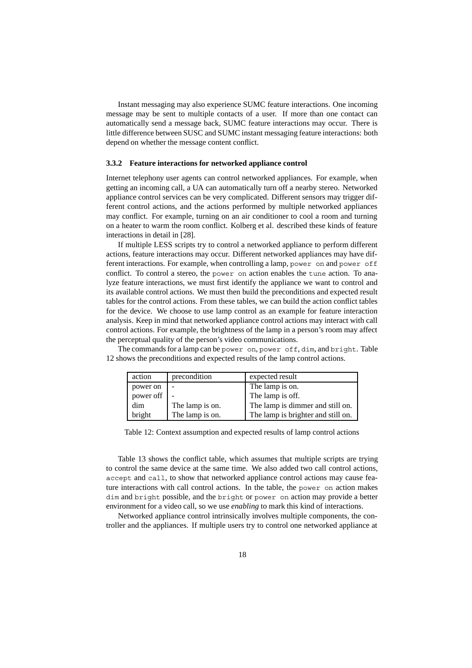Instant messaging may also experience SUMC feature interactions. One incoming message may be sent to multiple contacts of a user. If more than one contact can automatically send a message back, SUMC feature interactions may occur. There is little difference between SUSC and SUMC instant messaging feature interactions: both depend on whether the message content conflict.

#### **3.3.2 Feature interactions for networked appliance control**

Internet telephony user agents can control networked appliances. For example, when getting an incoming call, a UA can automatically turn off a nearby stereo. Networked appliance control services can be very complicated. Different sensors may trigger different control actions, and the actions performed by multiple networked appliances may conflict. For example, turning on an air conditioner to cool a room and turning on a heater to warm the room conflict. Kolberg et al. described these kinds of feature interactions in detail in [28].

If multiple LESS scripts try to control a networked appliance to perform different actions, feature interactions may occur. Different networked appliances may have different interactions. For example, when controlling a lamp, power on and power off conflict. To control a stereo, the power on action enables the tune action. To analyze feature interactions, we must first identify the appliance we want to control and its available control actions. We must then build the preconditions and expected result tables for the control actions. From these tables, we can build the action conflict tables for the device. We choose to use lamp control as an example for feature interaction analysis. Keep in mind that networked appliance control actions may interact with call control actions. For example, the brightness of the lamp in a person's room may affect the perceptual quality of the person's video communications.

The commands for a lamp can be power on, power off, dim, and bright. Table 12 shows the preconditions and expected results of the lamp control actions.

| action    | precondition    | expected result                    |
|-----------|-----------------|------------------------------------|
| power on  |                 | The lamp is on.                    |
| power off |                 | The lamp is off.                   |
| dim       | The lamp is on. | The lamp is dimmer and still on.   |
| bright    | The lamp is on. | The lamp is brighter and still on. |

Table 12: Context assumption and expected results of lamp control actions

Table 13 shows the conflict table, which assumes that multiple scripts are trying to control the same device at the same time. We also added two call control actions, accept and call, to show that networked appliance control actions may cause feature interactions with call control actions. In the table, the power on action makes dim and bright possible, and the bright or power on action may provide a better environment for a video call, so we use *enabling* to mark this kind of interactions.

Networked appliance control intrinsically involves multiple components, the controller and the appliances. If multiple users try to control one networked appliance at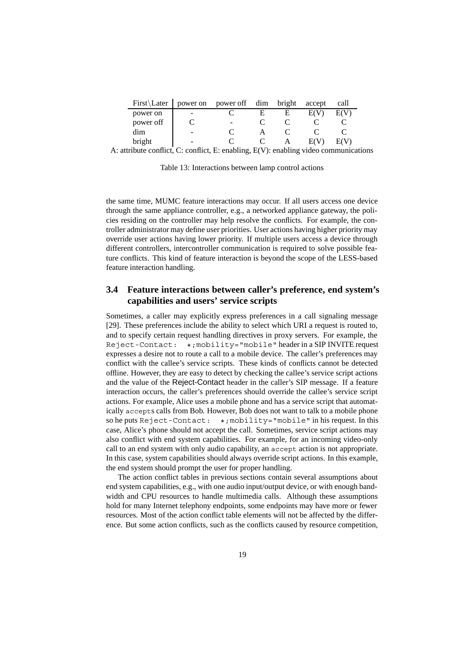| $First \text{\&}$ | power on                 | power off dim bright |   | accept | call |
|-------------------|--------------------------|----------------------|---|--------|------|
| power on          | $\overline{\phantom{0}}$ |                      | н |        |      |
| power off         |                          |                      |   |        |      |
| dim               | $\qquad \qquad$          |                      |   |        |      |
| bright            | -                        |                      |   |        |      |

A: attribute conflict, C: conflict, E: enabling, E(V): enabling video communications

Table 13: Interactions between lamp control actions

the same time, MUMC feature interactions may occur. If all users access one device through the same appliance controller, e.g., a networked appliance gateway, the policies residing on the controller may help resolve the conflicts. For example, the controller administrator may define user priorities. User actions having higher priority may override user actions having lower priority. If multiple users access a device through different controllers, intercontroller communication is required to solve possible feature conflicts. This kind of feature interaction is beyond the scope of the LESS-based feature interaction handling.

# **3.4 Feature interactions between caller's preference, end system's capabilities and users' service scripts**

Sometimes, a caller may explicitly express preferences in a call signaling message [29]. These preferences include the ability to select which URI a request is routed to, and to specify certain request handling directives in proxy servers. For example, the Reject-Contact: \*;mobility="mobile" header in a SIP INVITE request expresses a desire not to route a call to a mobile device. The caller's preferences may conflict with the callee's service scripts. These kinds of conflicts cannot be detected offline. However, they are easy to detect by checking the callee's service script actions and the value of the Reject-Contact header in the caller's SIP message. If a feature interaction occurs, the caller's preferences should override the callee's service script actions. For example, Alice uses a mobile phone and has a service script that automatically accepts calls from Bob. However, Bob does not want to talk to a mobile phone so he puts Reject-Contact: \*; mobility="mobile" in his request. In this case, Alice's phone should not accept the call. Sometimes, service script actions may also conflict with end system capabilities. For example, for an incoming video-only call to an end system with only audio capability, an accept action is not appropriate. In this case, system capabilities should always override script actions. In this example, the end system should prompt the user for proper handling.

The action conflict tables in previous sections contain several assumptions about end system capabilities, e.g., with one audio input/output device, or with enough bandwidth and CPU resources to handle multimedia calls. Although these assumptions hold for many Internet telephony endpoints, some endpoints may have more or fewer resources. Most of the action conflict table elements will not be affected by the difference. But some action conflicts, such as the conflicts caused by resource competition,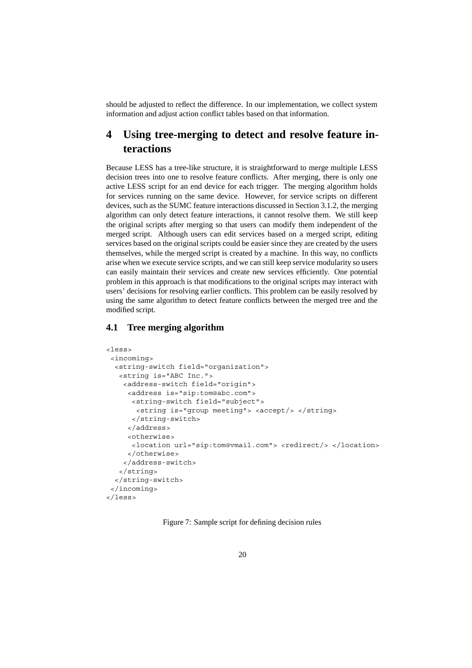should be adjusted to reflect the difference. In our implementation, we collect system information and adjust action conflict tables based on that information.

# **4 Using tree-merging to detect and resolve feature interactions**

Because LESS has a tree-like structure, it is straightforward to merge multiple LESS decision trees into one to resolve feature conflicts. After merging, there is only one active LESS script for an end device for each trigger. The merging algorithm holds for services running on the same device. However, for service scripts on different devices, such as the SUMC feature interactions discussed in Section 3.1.2, the merging algorithm can only detect feature interactions, it cannot resolve them. We still keep the original scripts after merging so that users can modify them independent of the merged script. Although users can edit services based on a merged script, editing services based on the original scripts could be easier since they are created by the users themselves, while the merged script is created by a machine. In this way, no conflicts arise when we execute service scripts, and we can still keep service modularity so users can easily maintain their services and create new services efficiently. One potential problem in this approach is that modifications to the original scripts may interact with users' decisions for resolving earlier conflicts. This problem can be easily resolved by using the same algorithm to detect feature conflicts between the merged tree and the modified script.

# **4.1 Tree merging algorithm**

```
<less>
<incoming>
 <string-switch field="organization">
  <string is="ABC Inc.">
    <address-switch field="origin">
     <address is="sip:tom@abc.com">
      <string-switch field="subject">
       <string is="group meeting"> <accept/> </string>
      </string-switch>
     </address>
     <otherwise>
      <location url="sip:tom@vmail.com"> <redirect/> </location>
     </otherwise>
    </address-switch>
   </string>
  </string-switch>
 </incoming>
</less>
```
Figure 7: Sample script for defining decision rules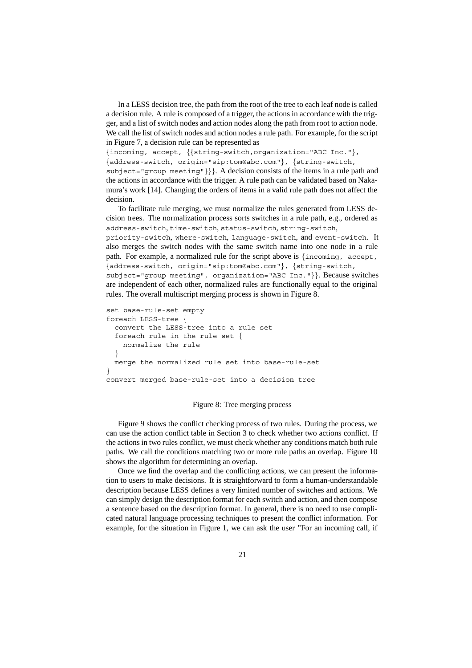In a LESS decision tree, the path from the root of the tree to each leaf node is called a decision rule. A rule is composed of a trigger, the actions in accordance with the trigger, and a list of switch nodes and action nodes along the path from root to action node. We call the list of switch nodes and action nodes a rule path. For example, for the script in Figure 7, a decision rule can be represented as

*{*incoming, accept, *{{*string-switch,organization="ABC Inc."*}*, *{*address-switch, origin="sip:tom@abc.com"*}*, *{*string-switch, subject="group meeting"*}}}*. A decision consists of the items in a rule path and the actions in accordance with the trigger. A rule path can be validated based on Nakamura's work [14]. Changing the orders of items in a valid rule path does not affect the decision.

To facilitate rule merging, we must normalize the rules generated from LESS decision trees. The normalization process sorts switches in a rule path, e.g., ordered as address-switch, time-switch, status-switch, string-switch,

priority-switch, where-switch, language-switch, and event-switch. It also merges the switch nodes with the same switch name into one node in a rule path. For example, a normalized rule for the script above is *{*incoming, accept, *{*address-switch, origin="sip:tom@abc.com"*}*, *{*string-switch, subject="group meeting", organization="ABC Inc."*}}*. Because switches are independent of each other, normalized rules are functionally equal to the original rules. The overall multiscript merging process is shown in Figure 8.

```
set base-rule-set empty
foreach LESS-tree {
 convert the LESS-tree into a rule set
  foreach rule in the rule set {
    normalize the rule
  }
  merge the normalized rule set into base-rule-set
}
convert merged base-rule-set into a decision tree
```
#### Figure 8: Tree merging process

Figure 9 shows the conflict checking process of two rules. During the process, we can use the action conflict table in Section 3 to check whether two actions conflict. If the actions in two rules conflict, we must check whether any conditions match both rule paths. We call the conditions matching two or more rule paths an overlap. Figure 10 shows the algorithm for determining an overlap.

Once we find the overlap and the conflicting actions, we can present the information to users to make decisions. It is straightforward to form a human-understandable description because LESS defines a very limited number of switches and actions. We can simply design the description format for each switch and action, and then compose a sentence based on the description format. In general, there is no need to use complicated natural language processing techniques to present the conflict information. For example, for the situation in Figure 1, we can ask the user "For an incoming call, if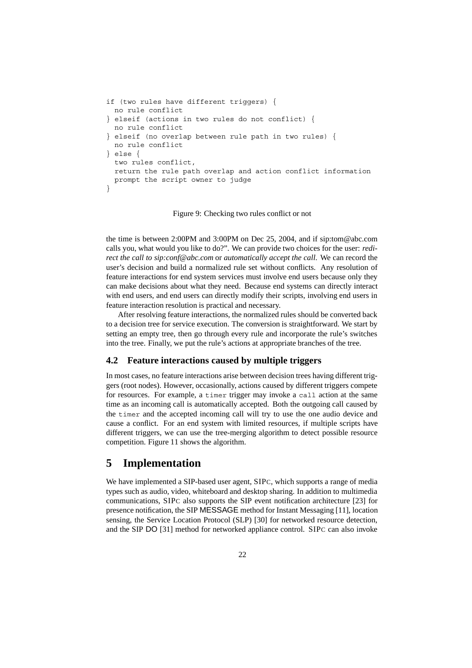```
if (two rules have different triggers) {
 no rule conflict
} elseif (actions in two rules do not conflict) {
 no rule conflict
} elseif (no overlap between rule path in two rules) {
 no rule conflict
} else {
 two rules conflict,
 return the rule path overlap and action conflict information
 prompt the script owner to judge
}
```
Figure 9: Checking two rules conflict or not

the time is between 2:00PM and 3:00PM on Dec 25, 2004, and if sip:tom@abc.com calls you, what would you like to do?". We can provide two choices for the user: *redirect the call to sip:conf@abc.com* or *automatically accept the call*. We can record the user's decision and build a normalized rule set without conflicts. Any resolution of feature interactions for end system services must involve end users because only they can make decisions about what they need. Because end systems can directly interact with end users, and end users can directly modify their scripts, involving end users in feature interaction resolution is practical and necessary.

After resolving feature interactions, the normalized rules should be converted back to a decision tree for service execution. The conversion is straightforward. We start by setting an empty tree, then go through every rule and incorporate the rule's switches into the tree. Finally, we put the rule's actions at appropriate branches of the tree.

## **4.2 Feature interactions caused by multiple triggers**

In most cases, no feature interactions arise between decision trees having different triggers (root nodes). However, occasionally, actions caused by different triggers compete for resources. For example, a timer trigger may invoke a call action at the same time as an incoming call is automatically accepted. Both the outgoing call caused by the timer and the accepted incoming call will try to use the one audio device and cause a conflict. For an end system with limited resources, if multiple scripts have different triggers, we can use the tree-merging algorithm to detect possible resource competition. Figure 11 shows the algorithm.

# **5 Implementation**

We have implemented a SIP-based user agent, SIPC, which supports a range of media types such as audio, video, whiteboard and desktop sharing. In addition to multimedia communications, SIPC also supports the SIP event notification architecture [23] for presence notification, the SIP MESSAGE method for Instant Messaging [11], location sensing, the Service Location Protocol (SLP) [30] for networked resource detection, and the SIP DO [31] method for networked appliance control. SIPC can also invoke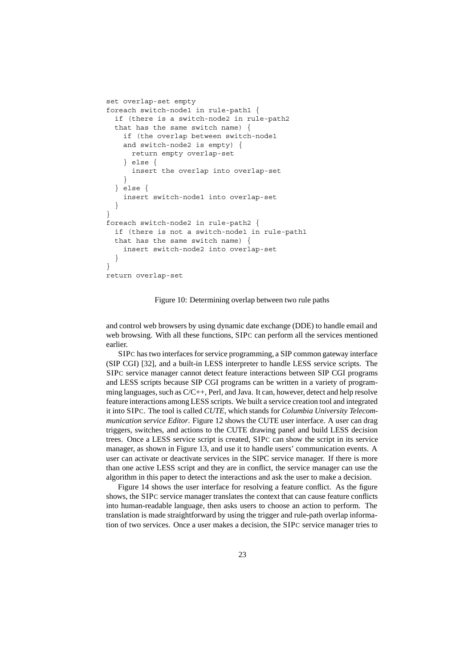```
set overlap-set empty
foreach switch-node1 in rule-path1 {
  if (there is a switch-node2 in rule-path2
  that has the same switch name) {
    if (the overlap between switch-node1
    and switch-node2 is empty) {
      return empty overlap-set
    } else {
      insert the overlap into overlap-set
    }
  } else {
    insert switch-node1 into overlap-set
  }
}
foreach switch-node2 in rule-path2 {
  if (there is not a switch-node1 in rule-path1
  that has the same switch name) {
    insert switch-node2 into overlap-set
  }
}
return overlap-set
```
Figure 10: Determining overlap between two rule paths

and control web browsers by using dynamic date exchange (DDE) to handle email and web browsing. With all these functions, SIPC can perform all the services mentioned earlier.

SIPC has two interfaces for service programming, a SIP common gateway interface (SIP CGI) [32], and a built-in LESS interpreter to handle LESS service scripts. The SIPC service manager cannot detect feature interactions between SIP CGI programs and LESS scripts because SIP CGI programs can be written in a variety of programming languages, such as  $C/C++$ , Perl, and Java. It can, however, detect and help resolve feature interactions among LESS scripts. We built a service creation tool and integrated it into SIPC. The tool is called *CUTE*, which stands for *Columbia University Telecommunication service Editor*. Figure 12 shows the CUTE user interface. A user can drag triggers, switches, and actions to the CUTE drawing panel and build LESS decision trees. Once a LESS service script is created, SIPC can show the script in its service manager, as shown in Figure 13, and use it to handle users' communication events. A user can activate or deactivate services in the SIPC service manager. If there is more than one active LESS script and they are in conflict, the service manager can use the algorithm in this paper to detect the interactions and ask the user to make a decision.

Figure 14 shows the user interface for resolving a feature conflict. As the figure shows, the SIPC service manager translates the context that can cause feature conflicts into human-readable language, then asks users to choose an action to perform. The translation is made straightforward by using the trigger and rule-path overlap information of two services. Once a user makes a decision, the SIPC service manager tries to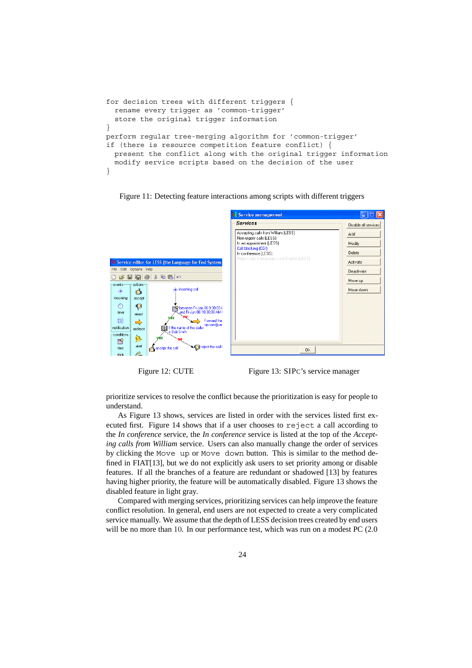```
for decision trees with different triggers {
 rename every trigger as 'common-trigger'
  store the original trigger information
}
perform regular tree-merging algorithm for 'common-trigger'
if (there is resource competition feature conflict) {
 present the conflict along with the original trigger information
 modify service scripts based on the decision of the user
}
```
Figure 11: Detecting feature interactions among scripts with different triggers



Figure 12: CUTE Figure 13: SIPC's service manager

prioritize services to resolve the conflict because the prioritization is easy for people to understand.

As Figure 13 shows, services are listed in order with the services listed first executed first. Figure 14 shows that if a user chooses to reject a call according to the *In conference* service, the *In conference* service is listed at the top of the *Accepting calls from William* service. Users can also manually change the order of services by clicking the Move up or Move down button. This is similar to the method defined in FIAT[13], but we do not explicitly ask users to set priority among or disable features. If all the branches of a feature are redundant or shadowed [13] by features having higher priority, the feature will be automatically disabled. Figure 13 shows the disabled feature in light gray.

Compared with merging services, prioritizing services can help improve the feature conflict resolution. In general, end users are not expected to create a very complicated service manually. We assume that the depth of LESS decision trees created by end users will be no more than 10. In our performance test, which was run on a modest PC  $(2.0)$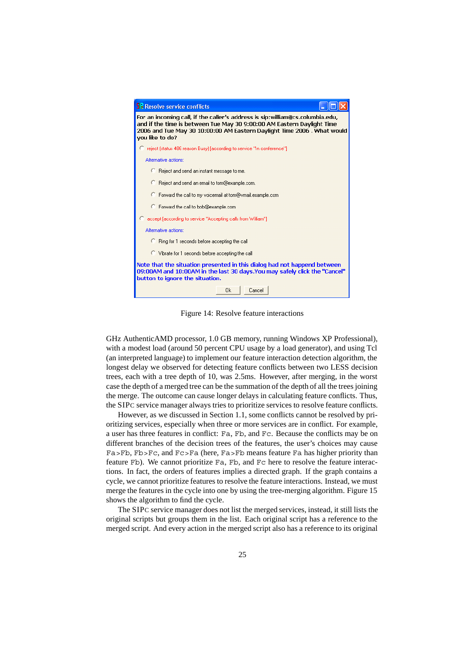| <b>SP</b> Resolve service conflicts                                                                                                                                                                                                                   |  |  |  |  |
|-------------------------------------------------------------------------------------------------------------------------------------------------------------------------------------------------------------------------------------------------------|--|--|--|--|
| For an incoming call, if the caller's address is sip:william@cs.columbia.edu,<br>and if the time is between Tue May 30 9:00:00 AM Eastern Daylight Time<br>2006 and Tue May 30 10:00:00 AM Eastern Daylight Time 2006 . What would<br>you like to do? |  |  |  |  |
| reject (status 486 reason Busy) [according to service "In conference"]                                                                                                                                                                                |  |  |  |  |
| Alternative actions:                                                                                                                                                                                                                                  |  |  |  |  |
| C<br>Reject and send an instant message to me.                                                                                                                                                                                                        |  |  |  |  |
| ○ Reject and send an email to tom@example.com.                                                                                                                                                                                                        |  |  |  |  |
| Forward the call to my voicemail at tom@ymail.example.com                                                                                                                                                                                             |  |  |  |  |
| <b>Forward the call to bob@example.com</b>                                                                                                                                                                                                            |  |  |  |  |
| accept [according to service "Accepting calls from William"]                                                                                                                                                                                          |  |  |  |  |
| Alternative actions:                                                                                                                                                                                                                                  |  |  |  |  |
| C Ring for 1 seconds before accepting the call                                                                                                                                                                                                        |  |  |  |  |
| C Vibrate for 1 seconds before accepting the call                                                                                                                                                                                                     |  |  |  |  |
| Note that the situation presented in this dialog had not happend between<br>09:00AM and 10:00AM in the last 30 days.You may safely click the "Cancel"<br>button to ignore the situation.                                                              |  |  |  |  |
| Cancel<br>Ok                                                                                                                                                                                                                                          |  |  |  |  |

Figure 14: Resolve feature interactions

GHz AuthenticAMD processor, 1.0 GB memory, running Windows XP Professional), with a modest load (around 50 percent CPU usage by a load generator), and using Tcl (an interpreted language) to implement our feature interaction detection algorithm, the longest delay we observed for detecting feature conflicts between two LESS decision trees, each with a tree depth of 10, was 2.5ms. However, after merging, in the worst case the depth of a merged tree can be the summation of the depth of all the trees joining the merge. The outcome can cause longer delays in calculating feature conflicts. Thus, the SIPC service manager always tries to prioritize services to resolve feature conflicts.

However, as we discussed in Section 1.1, some conflicts cannot be resolved by prioritizing services, especially when three or more services are in conflict. For example, a user has three features in conflict: Fa, Fb, and Fc. Because the conflicts may be on different branches of the decision trees of the features, the user's choices may cause Fa>Fb, Fb>Fc, and Fc>Fa (here, Fa>Fb means feature Fa has higher priority than feature Fb). We cannot prioritize Fa, Fb, and Fc here to resolve the feature interactions. In fact, the orders of features implies a directed graph. If the graph contains a cycle, we cannot prioritize features to resolve the feature interactions. Instead, we must merge the features in the cycle into one by using the tree-merging algorithm. Figure 15 shows the algorithm to find the cycle.

The SIPC service manager does not list the merged services, instead, it still lists the original scripts but groups them in the list. Each original script has a reference to the merged script. And every action in the merged script also has a reference to its original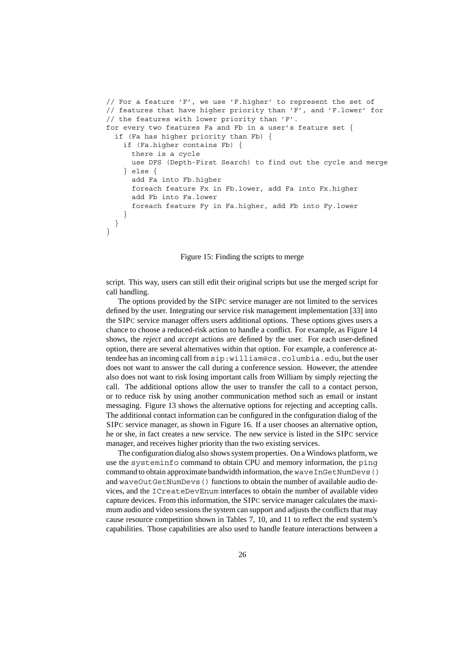```
// For a feature 'F', we use 'F.higher' to represent the set of
// features that have higher priority than 'F', and 'F.lower' for
// the features with lower priority than 'F'.
for every two features Fa and Fb in a user's feature set {
  if (Fa has higher priority than Fb) {
    if (Fa.higher contains Fb) {
      there is a cycle
      use DFS (Depth-First Search) to find out the cycle and merge
    } else {
      add Fa into Fb.higher
      foreach feature Fx in Fb.lower, add Fa into Fx.higher
      add Fb into Fa.lower
      foreach feature Fy in Fa.higher, add Fb into Fy.lower
    }
  }
}
```
Figure 15: Finding the scripts to merge

script. This way, users can still edit their original scripts but use the merged script for call handling.

The options provided by the SIPC service manager are not limited to the services defined by the user. Integrating our service risk management implementation [33] into the SIPC service manager offers users additional options. These options gives users a chance to choose a reduced-risk action to handle a conflict. For example, as Figure 14 shows, the *reject* and *accept* actions are defined by the user. For each user-defined option, there are several alternatives within that option. For example, a conference attendee has an incoming call from sip:william@cs.columbia.edu, but the user does not want to answer the call during a conference session. However, the attendee also does not want to risk losing important calls from William by simply rejecting the call. The additional options allow the user to transfer the call to a contact person, or to reduce risk by using another communication method such as email or instant messaging. Figure 13 shows the alternative options for rejecting and accepting calls. The additional contact information can be configured in the configuration dialog of the SIPC service manager, as shown in Figure 16. If a user chooses an alternative option, he or she, in fact creates a new service. The new service is listed in the SIPC service manager, and receives higher priority than the two existing services.

The configuration dialog also shows system properties. On a Windows platform, we use the systeminfo command to obtain CPU and memory information, the ping command to obtain approximate bandwidth information, the waveInGetNumDevs() and waveOutGetNumDevs() functions to obtain the number of available audio devices, and the ICreateDevEnum interfaces to obtain the number of available video capture devices. From this information, the SIPC service manager calculates the maximum audio and video sessions the system can support and adjusts the conflicts that may cause resource competition shown in Tables 7, 10, and 11 to reflect the end system's capabilities. Those capabilities are also used to handle feature interactions between a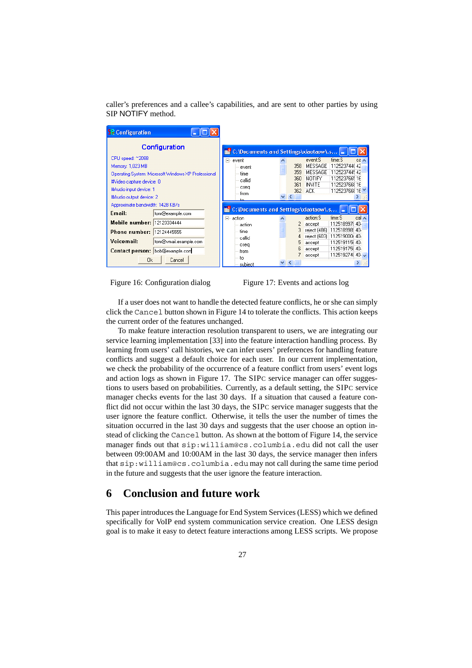caller's preferences and a callee's capabilities, and are sent to other parties by using SIP NOTIFY method.

| <b>SR</b> Configuration                             |                                                                     |                                         |
|-----------------------------------------------------|---------------------------------------------------------------------|-----------------------------------------|
| Configuration                                       | <b>The C: \Documents and Settings\xiaotaow\.s</b>                   |                                         |
| CPU speed: ~2088                                    | ⊟-event                                                             | event:S<br>time:S<br>$\sim$ 50          |
| Memory: 1,023 MB                                    | 358<br>event                                                        | MESSAGE<br>112523744042                 |
| Operating System: Microsoft Windows XP Professional | 359<br>time                                                         | MESSAGE<br>112523744542                 |
| #Video capture device: 0                            | 360<br>callid                                                       | 112523766516<br>NOTIFY.                 |
| #Audio input device: 1                              | 361<br>cseq                                                         | 112523766816<br><b>INVITE</b>           |
| #Audio output device: 2                             | 362<br>from<br>∨ く 皿                                                | 112523766816 <sup>V</sup><br><b>ACK</b> |
|                                                     |                                                                     |                                         |
| Approximate bandwidth: 1428 KB/s                    | $\left  \frac{1}{2} \right $ C: \Documents and Settings\xiaotaow\.s |                                         |
| Email:<br>tom@example.com                           |                                                                     | action:S<br>time: S<br>$cal \land$      |
| Mobile number: 12123334444                          | $\Box$ action<br>2<br>-- action                                     | 112518997 40<br>accept                  |
| Phone number: 12124445555                           | — time.                                                             | reject (486)   1125189989 40-           |
|                                                     | — callid                                                            | reject (603)   1125190004 40-           |
| Voicemail:<br>tom@vmail.example.com                 | 5<br>- cseq                                                         | 112519115640-<br>accept                 |
| Contact person: bob@example.com                     | — from                                                              | 112519175 40<br>accept                  |
|                                                     | ⊢ to                                                                | 112519274840 $\sim$<br>accept           |
| 0k<br>Cancel                                        | – subiect                                                           |                                         |



If a user does not want to handle the detected feature conflicts, he or she can simply click the Cancel button shown in Figure 14 to tolerate the conflicts. This action keeps the current order of the features unchanged.

To make feature interaction resolution transparent to users, we are integrating our service learning implementation [33] into the feature interaction handling process. By learning from users' call histories, we can infer users' preferences for handling feature conflicts and suggest a default choice for each user. In our current implementation, we check the probability of the occurrence of a feature conflict from users' event logs and action logs as shown in Figure 17. The SIPC service manager can offer suggestions to users based on probabilities. Currently, as a default setting, the SIPC service manager checks events for the last 30 days. If a situation that caused a feature conflict did not occur within the last 30 days, the SIPC service manager suggests that the user ignore the feature conflict. Otherwise, it tells the user the number of times the situation occurred in the last 30 days and suggests that the user choose an option instead of clicking the Cancel button. As shown at the bottom of Figure 14, the service manager finds out that sip:william@cs.columbia.edu did not call the user between 09:00AM and 10:00AM in the last 30 days, the service manager then infers that sip:william@cs.columbia.edu may not call during the same time period in the future and suggests that the user ignore the feature interaction.

# **6 Conclusion and future work**

This paper introduces the Language for End System Services (LESS) which we defined specifically for VoIP end system communication service creation. One LESS design goal is to make it easy to detect feature interactions among LESS scripts. We propose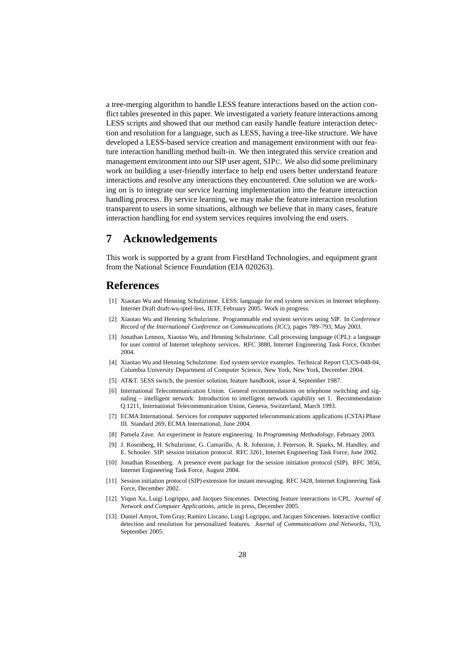a tree-merging algorithm to handle LESS feature interactions based on the action conflict tables presented in this paper. We investigated a variety feature interactions among LESS scripts and showed that our method can easily handle feature interaction detection and resolution for a language, such as LESS, having a tree-like structure. We have developed a LESS-based service creation and management environment with our feature interaction handling method built-in. We then integrated this service creation and management environment into our SIP user agent, SIPC. We also did some preliminary work on building a user-friendly interface to help end users better understand feature interactions and resolve any interactions they encountered. One solution we are working on is to integrate our service learning implementation into the feature interaction handling process. By service learning, we may make the feature interaction resolution transparent to users in some situations, although we believe that in many cases, feature interaction handling for end system services requires involving the end users.

# **7 Acknowledgements**

This work is supported by a grant from FirstHand Technologies, and equipment grant from the National Science Foundation (EIA 020263).

# **References**

- [1] Xiaotao Wu and Henning Schulzrinne. LESS: language for end system services in Internet telephony. Internet Draft draft-wu-iptel-less, IETF, February 2005. Work in progress.
- [2] Xiaotao Wu and Henning Schulzrinne. Programmable end system services using SIP. In *Conference Record of the International Conference on Communications (ICC)*, pages 789–793, May 2003.
- [3] Jonathan Lennox, Xiaotao Wu, and Henning Schulzrinne. Call processing language (CPL): a language for user control of Internet telephony services. RFC 3880, Internet Engineering Task Force, October 2004.
- [4] Xiaotao Wu and Henning Schulzrinne. End system service examples. Technical Report CUCS-048-04, Columbia University Department of Computer Science, New York, New York, December 2004.
- [5] AT&T. 5ESS switch, the premier solution, feature handbook, issue 4, September 1987.
- [6] International Telecommunication Union. General recommendations on telephone switching and signaling – intelligent network: Introduction to intelligent network capability set 1. Recommendation Q.1211, International Telecommunication Union, Geneva, Switzerland, March 1993.
- [7] ECMA International. Services for computer supported telecommunications applications (CSTA) Phase III. Standard 269, ECMA International, June 2004.
- [8] Pamela Zave. An experiment in feature engineering. In *Programming Methodology*, February 2003.
- [9] J. Rosenberg, H. Schulzrinne, G. Camarillo, A. R. Johnston, J. Peterson, R. Sparks, M. Handley, and E. Schooler. SIP: session initiation protocol. RFC 3261, Internet Engineering Task Force, June 2002.
- [10] Jonathan Rosenberg. A presence event package for the session initiation protocol (SIP). RFC 3856, Internet Engineering Task Force, August 2004.
- [11] Session initiation protocol (SIP) extension for instant messaging. RFC 3428, Internet Engineering Task Force, December 2002.
- [12] Yiqun Xu, Luigi Logrippo, and Jacques Sincennes. Detecting feature interactions in CPL. *Journal of Network and Computer Applications*, article in press, December 2005.
- [13] Daniel Amyot, Tom Gray, Ramiro Liscano, Luigi Logrippo, and Jacques Sincennes. Interactive conflict detection and resolution for personalized features. *Journal of Communications and Networks*, 7(3), September 2005.